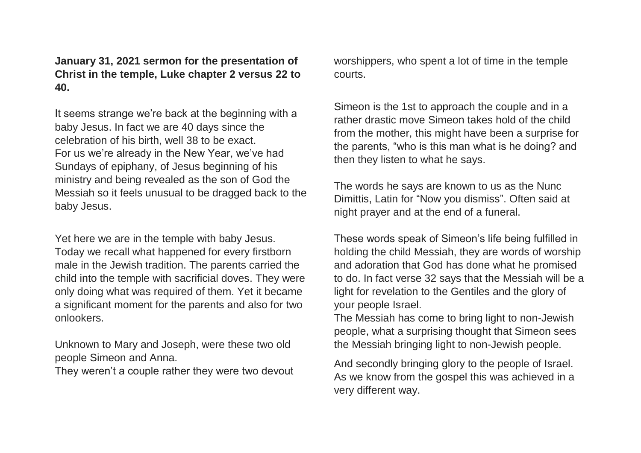## **January 31, 2021 sermon for the presentation of Christ in the temple, Luke chapter 2 versus 22 to 40.**

It seems strange we're back at the beginning with a baby Jesus. In fact we are 40 days since the celebration of his birth, well 38 to be exact. For us we're already in the New Year, we've had Sundays of epiphany, of Jesus beginning of his ministry and being revealed as the son of God the Messiah so it feels unusual to be dragged back to the baby Jesus.

Yet here we are in the temple with baby Jesus. Today we recall what happened for every firstborn male in the Jewish tradition. The parents carried the child into the temple with sacrificial doves. They were only doing what was required of them. Yet it became a significant moment for the parents and also for two onlookers.

Unknown to Mary and Joseph, were these two old people Simeon and Anna.

They weren't a couple rather they were two devout

worshippers, who spent a lot of time in the temple courts.

Simeon is the 1st to approach the couple and in a rather drastic move Simeon takes hold of the child from the mother, this might have been a surprise for the parents, "who is this man what is he doing? and then they listen to what he says.

The words he says are known to us as the Nunc Dimittis, Latin for "Now you dismiss". Often said at night prayer and at the end of a funeral.

These words speak of Simeon's life being fulfilled in holding the child Messiah, they are words of worship and adoration that God has done what he promised to do. In fact verse 32 says that the Messiah will be a light for revelation to the Gentiles and the glory of your people Israel.

The Messiah has come to bring light to non-Jewish people, what a surprising thought that Simeon sees the Messiah bringing light to non-Jewish people.

And secondly bringing glory to the people of Israel. As we know from the gospel this was achieved in a very different way.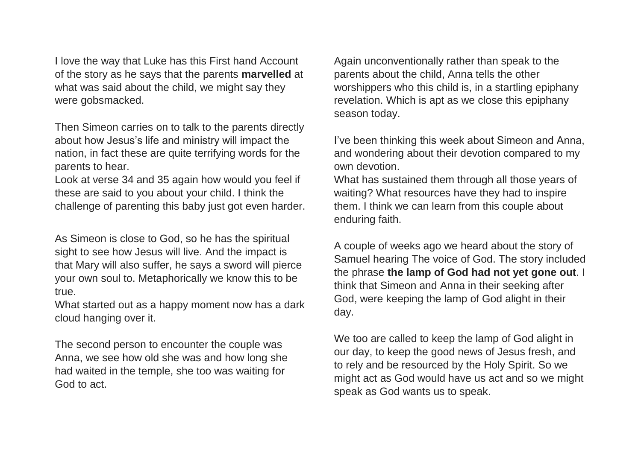I love the way that Luke has this First hand Account of the story as he says that the parents **marvelled** at what was said about the child, we might say they were gobsmacked.

Then Simeon carries on to talk to the parents directly about how Jesus's life and ministry will impact the nation, in fact these are quite terrifying words for the parents to hear.

Look at verse 34 and 35 again how would you feel if these are said to you about your child. I think the challenge of parenting this baby just got even harder.

As Simeon is close to God, so he has the spiritual sight to see how Jesus will live. And the impact is that Mary will also suffer, he says a sword will pierce your own soul to. Metaphorically we know this to be true.

What started out as a happy moment now has a dark cloud hanging over it.

The second person to encounter the couple was Anna, we see how old she was and how long she had waited in the temple, she too was waiting for God to act.

Again unconventionally rather than speak to the parents about the child, Anna tells the other worshippers who this child is, in a startling epiphany revelation. Which is apt as we close this epiphany season today.

I've been thinking this week about Simeon and Anna, and wondering about their devotion compared to my own devotion.

What has sustained them through all those years of waiting? What resources have they had to inspire them. I think we can learn from this couple about enduring faith.

A couple of weeks ago we heard about the story of Samuel hearing The voice of God. The story included the phrase **the lamp of God had not yet gone out**. I think that Simeon and Anna in their seeking after God, were keeping the lamp of God alight in their day.

We too are called to keep the lamp of God alight in our day, to keep the good news of Jesus fresh, and to rely and be resourced by the Holy Spirit. So we might act as God would have us act and so we might speak as God wants us to speak.